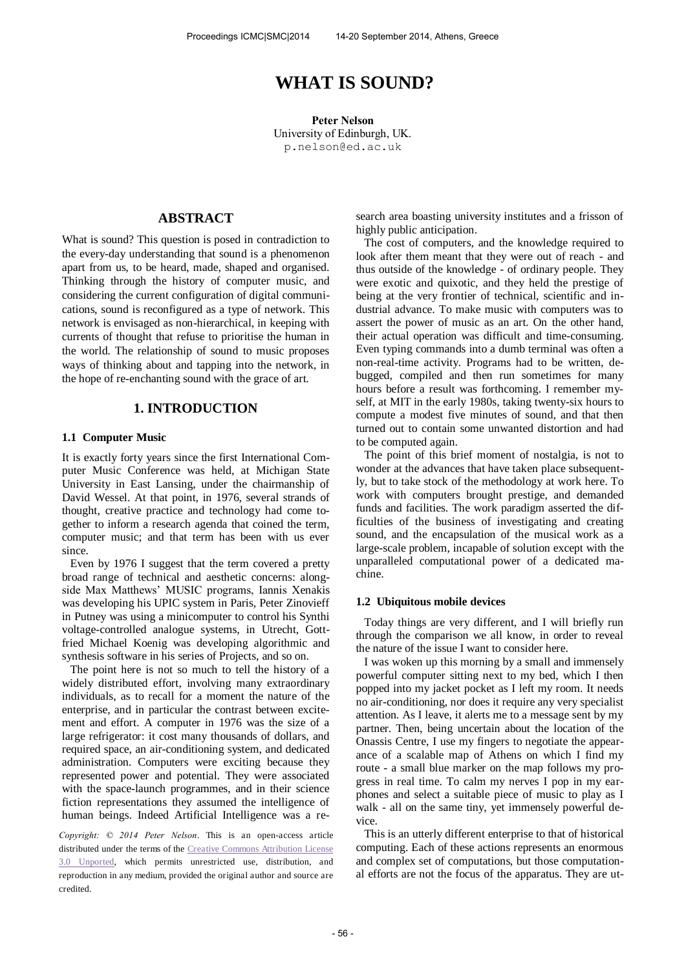# **WHAT IS SOUND?**

**Peter Nelson**  University of Edinburgh, UK. [p.nelson@ed.ac.uk](mailto:author1@smcnetwork.org?subject=SMC%202010%20paper)

## **ABSTRACT**

What is sound? This question is posed in contradiction to the every-day understanding that sound is a phenomenon apart from us, to be heard, made, shaped and organised. Thinking through the history of computer music, and considering the current configuration of digital communications, sound is reconfigured as a type of network. This network is envisaged as non-hierarchical, in keeping with currents of thought that refuse to prioritise the human in the world. The relationship of sound to music proposes ways of thinking about and tapping into the network, in the hope of re-enchanting sound with the grace of art.

### **1. INTRODUCTION**

#### **1.1 Computer Music**

It is exactly forty years since the first International Computer Music Conference was held, at Michigan State University in East Lansing, under the chairmanship of David Wessel. At that point, in 1976, several strands of thought, creative practice and technology had come together to inform a research agenda that coined the term, computer music; and that term has been with us ever since.

Even by 1976 I suggest that the term covered a pretty broad range of technical and aesthetic concerns: alongside Max Matthews' MUSIC programs, Iannis Xenakis was developing his UPIC system in Paris, Peter Zinovieff in Putney was using a minicomputer to control his Synthi voltage-controlled analogue systems, in Utrecht, Gottfried Michael Koenig was developing algorithmic and synthesis software in his series of Projects, and so on.

The point here is not so much to tell the history of a widely distributed effort, involving many extraordinary individuals, as to recall for a moment the nature of the enterprise, and in particular the contrast between excitement and effort. A computer in 1976 was the size of a large refrigerator: it cost many thousands of dollars, and required space, an air-conditioning system, and dedicated administration. Computers were exciting because they represented power and potential. They were associated with the space-launch programmes, and in their science fiction representations they assumed the intelligence of human beings. Indeed Artificial Intelligence was a re-

*Copyright: © 2014 Peter Nelson*. This is an open-access article distributed under the terms of the **Creative Commons Attribution License** [3.0 Unported,](http://creativecommons.org/licenses/by/3.0/) which permits unrestricted use, distribution, and reproduction in any medium, provided the original author and source are credited.

search area boasting university institutes and a frisson of highly public anticipation.

The cost of computers, and the knowledge required to look after them meant that they were out of reach - and thus outside of the knowledge - of ordinary people. They were exotic and quixotic, and they held the prestige of being at the very frontier of technical, scientific and industrial advance. To make music with computers was to assert the power of music as an art. On the other hand, their actual operation was difficult and time-consuming. Even typing commands into a dumb terminal was often a non-real-time activity. Programs had to be written, debugged, compiled and then run sometimes for many hours before a result was forthcoming. I remember myself, at MIT in the early 1980s, taking twenty-six hours to compute a modest five minutes of sound, and that then turned out to contain some unwanted distortion and had to be computed again.

The point of this brief moment of nostalgia, is not to wonder at the advances that have taken place subsequently, but to take stock of the methodology at work here. To work with computers brought prestige, and demanded funds and facilities. The work paradigm asserted the difficulties of the business of investigating and creating sound, and the encapsulation of the musical work as a large-scale problem, incapable of solution except with the unparalleled computational power of a dedicated machine.

#### **1.2 Ubiquitous mobile devices**

Today things are very different, and I will briefly run through the comparison we all know, in order to reveal the nature of the issue I want to consider here.

I was woken up this morning by a small and immensely powerful computer sitting next to my bed, which I then popped into my jacket pocket as I left my room. It needs no air-conditioning, nor does it require any very specialist attention. As I leave, it alerts me to a message sent by my partner. Then, being uncertain about the location of the Onassis Centre, I use my fingers to negotiate the appearance of a scalable map of Athens on which I find my route - a small blue marker on the map follows my progress in real time. To calm my nerves I pop in my earphones and select a suitable piece of music to play as I walk - all on the same tiny, yet immensely powerful device.

This is an utterly different enterprise to that of historical computing. Each of these actions represents an enormous and complex set of computations, but those computational efforts are not the focus of the apparatus. They are ut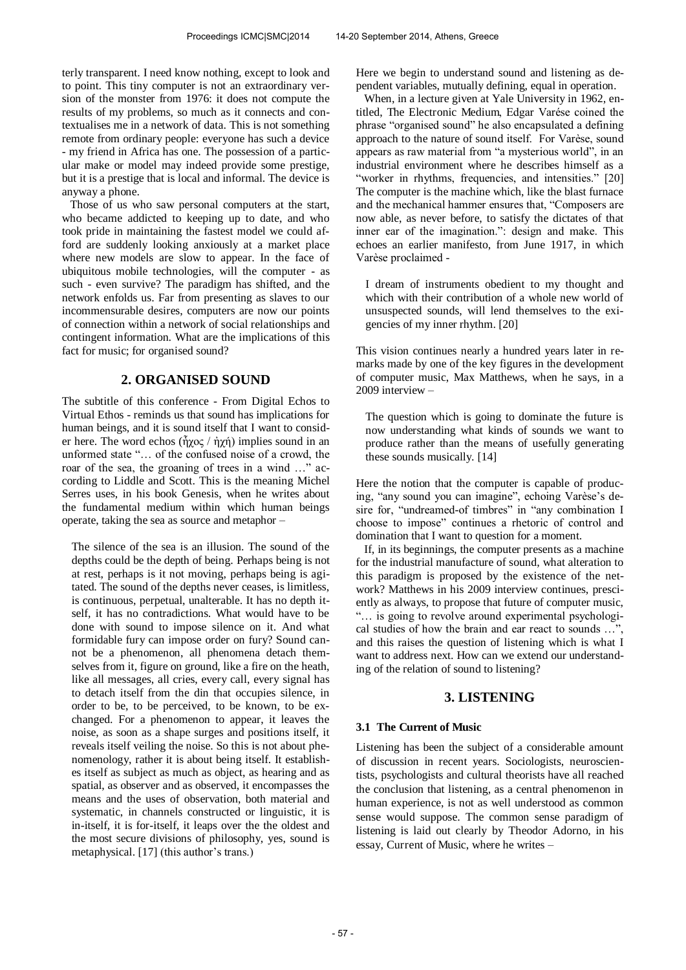terly transparent. I need know nothing, except to look and to point. This tiny computer is not an extraordinary version of the monster from 1976: it does not compute the results of my problems, so much as it connects and contextualises me in a network of data. This is not something remote from ordinary people: everyone has such a device - my friend in Africa has one. The possession of a particular make or model may indeed provide some prestige, but it is a prestige that is local and informal. The device is anyway a phone.

Those of us who saw personal computers at the start, who became addicted to keeping up to date, and who took pride in maintaining the fastest model we could afford are suddenly looking anxiously at a market place where new models are slow to appear. In the face of ubiquitous mobile technologies, will the computer - as such - even survive? The paradigm has shifted, and the network enfolds us. Far from presenting as slaves to our incommensurable desires, computers are now our points of connection within a network of social relationships and contingent information. What are the implications of this fact for music; for organised sound?

## **2. ORGANISED SOUND**

The subtitle of this conference - From Digital Echos to Virtual Ethos - reminds us that sound has implications for human beings, and it is sound itself that I want to consider here. The word echos ( $\tilde{\eta}$ χος /  $\dot{\eta}$ χή) implies sound in an unformed state "… of the confused noise of a crowd, the roar of the sea, the groaning of trees in a wind …" according to Liddle and Scott. This is the meaning Michel Serres uses, in his book Genesis, when he writes about the fundamental medium within which human beings operate, taking the sea as source and metaphor –

The silence of the sea is an illusion. The sound of the depths could be the depth of being. Perhaps being is not at rest, perhaps is it not moving, perhaps being is agitated. The sound of the depths never ceases, is limitless, is continuous, perpetual, unalterable. It has no depth itself, it has no contradictions. What would have to be done with sound to impose silence on it. And what formidable fury can impose order on fury? Sound cannot be a phenomenon, all phenomena detach themselves from it, figure on ground, like a fire on the heath, like all messages, all cries, every call, every signal has to detach itself from the din that occupies silence, in order to be, to be perceived, to be known, to be exchanged. For a phenomenon to appear, it leaves the noise, as soon as a shape surges and positions itself, it reveals itself veiling the noise. So this is not about phenomenology, rather it is about being itself. It establishes itself as subject as much as object, as hearing and as spatial, as observer and as observed, it encompasses the means and the uses of observation, both material and systematic, in channels constructed or linguistic, it is in-itself, it is for-itself, it leaps over the the oldest and the most secure divisions of philosophy, yes, sound is metaphysical. [17] (this author's trans.)

Here we begin to understand sound and listening as dependent variables, mutually defining, equal in operation.

When, in a lecture given at Yale University in 1962, entitled, The Electronic Medium, Edgar Varése coined the phrase "organised sound" he also encapsulated a defining approach to the nature of sound itself. For Varèse, sound appears as raw material from "a mysterious world", in an industrial environment where he describes himself as a "worker in rhythms, frequencies, and intensities." [20] The computer is the machine which, like the blast furnace and the mechanical hammer ensures that, "Composers are now able, as never before, to satisfy the dictates of that inner ear of the imagination.": design and make. This echoes an earlier manifesto, from June 1917, in which Varèse proclaimed -

I dream of instruments obedient to my thought and which with their contribution of a whole new world of unsuspected sounds, will lend themselves to the exigencies of my inner rhythm. [20]

This vision continues nearly a hundred years later in remarks made by one of the key figures in the development of computer music, Max Matthews, when he says, in a 2009 interview –

The question which is going to dominate the future is now understanding what kinds of sounds we want to produce rather than the means of usefully generating these sounds musically. [14]

Here the notion that the computer is capable of producing, "any sound you can imagine", echoing Varèse's desire for, "undreamed-of timbres" in "any combination I choose to impose" continues a rhetoric of control and domination that I want to question for a moment.

If, in its beginnings, the computer presents as a machine for the industrial manufacture of sound, what alteration to this paradigm is proposed by the existence of the network? Matthews in his 2009 interview continues, presciently as always, to propose that future of computer music, "… is going to revolve around experimental psychological studies of how the brain and ear react to sounds ...' and this raises the question of listening which is what I want to address next. How can we extend our understanding of the relation of sound to listening?

## **3. LISTENING**

#### **3.1 The Current of Music**

Listening has been the subject of a considerable amount of discussion in recent years. Sociologists, neuroscientists, psychologists and cultural theorists have all reached the conclusion that listening, as a central phenomenon in human experience, is not as well understood as common sense would suppose. The common sense paradigm of listening is laid out clearly by Theodor Adorno, in his essay, Current of Music, where he writes –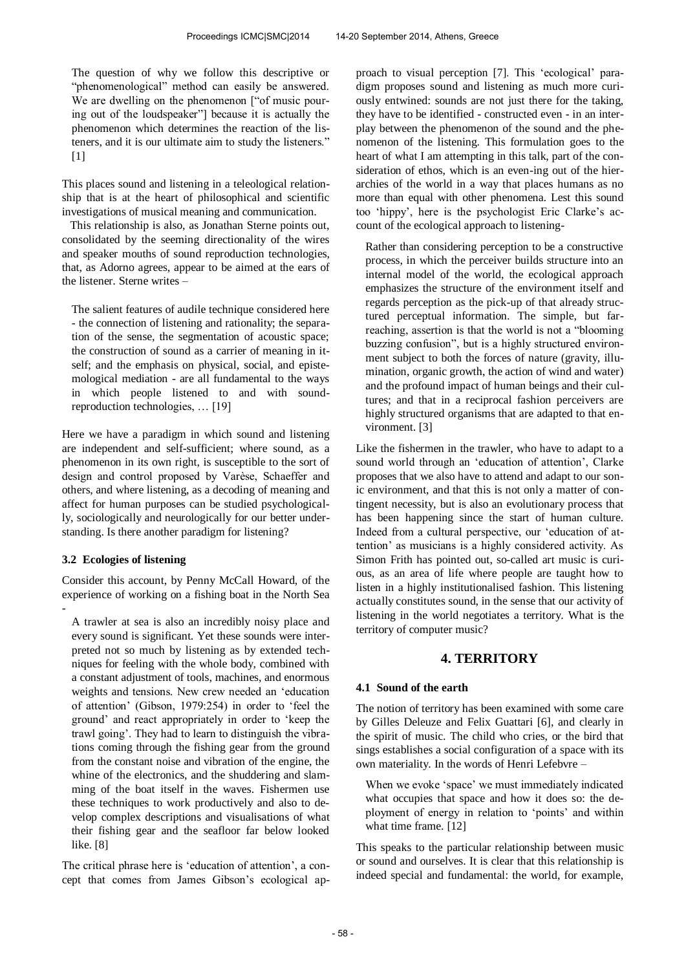The question of why we follow this descriptive or "phenomenological" method can easily be answered. We are dwelling on the phenomenon ["of music pouring out of the loudspeaker"] because it is actually the phenomenon which determines the reaction of the listeners, and it is our ultimate aim to study the listeners."  $[1]$ 

This places sound and listening in a teleological relationship that is at the heart of philosophical and scientific investigations of musical meaning and communication.

This relationship is also, as Jonathan Sterne points out, consolidated by the seeming directionality of the wires and speaker mouths of sound reproduction technologies, that, as Adorno agrees, appear to be aimed at the ears of the listener. Sterne writes –

The salient features of audile technique considered here - the connection of listening and rationality; the separation of the sense, the segmentation of acoustic space; the construction of sound as a carrier of meaning in itself; and the emphasis on physical, social, and epistemological mediation - are all fundamental to the ways in which people listened to and with soundreproduction technologies, … [19]

Here we have a paradigm in which sound and listening are independent and self-sufficient; where sound, as a phenomenon in its own right, is susceptible to the sort of design and control proposed by Varèse, Schaeffer and others, and where listening, as a decoding of meaning and affect for human purposes can be studied psychologically, sociologically and neurologically for our better understanding. Is there another paradigm for listening?

#### **3.2 Ecologies of listening**

Consider this account, by Penny McCall Howard, of the experience of working on a fishing boat in the North Sea -

A trawler at sea is also an incredibly noisy place and every sound is significant. Yet these sounds were interpreted not so much by listening as by extended techniques for feeling with the whole body, combined with a constant adjustment of tools, machines, and enormous weights and tensions. New crew needed an 'education of attention' (Gibson, 1979:254) in order to 'feel the ground' and react appropriately in order to 'keep the trawl going'. They had to learn to distinguish the vibrations coming through the fishing gear from the ground from the constant noise and vibration of the engine, the whine of the electronics, and the shuddering and slamming of the boat itself in the waves. Fishermen use these techniques to work productively and also to develop complex descriptions and visualisations of what their fishing gear and the seafloor far below looked like. [8]

The critical phrase here is 'education of attention', a concept that comes from James Gibson's ecological approach to visual perception [7]. This 'ecological' paradigm proposes sound and listening as much more curiously entwined: sounds are not just there for the taking, they have to be identified - constructed even - in an interplay between the phenomenon of the sound and the phenomenon of the listening. This formulation goes to the heart of what I am attempting in this talk, part of the consideration of ethos, which is an even-ing out of the hierarchies of the world in a way that places humans as no more than equal with other phenomena. Lest this sound too 'hippy', here is the psychologist Eric Clarke's account of the ecological approach to listening-

Rather than considering perception to be a constructive process, in which the perceiver builds structure into an internal model of the world, the ecological approach emphasizes the structure of the environment itself and regards perception as the pick-up of that already structured perceptual information. The simple, but farreaching, assertion is that the world is not a "blooming buzzing confusion", but is a highly structured environment subject to both the forces of nature (gravity, illumination, organic growth, the action of wind and water) and the profound impact of human beings and their cultures; and that in a reciprocal fashion perceivers are highly structured organisms that are adapted to that environment. [3]

Like the fishermen in the trawler, who have to adapt to a sound world through an 'education of attention', Clarke proposes that we also have to attend and adapt to our sonic environment, and that this is not only a matter of contingent necessity, but is also an evolutionary process that has been happening since the start of human culture. Indeed from a cultural perspective, our 'education of attention' as musicians is a highly considered activity. As Simon Frith has pointed out, so-called art music is curious, as an area of life where people are taught how to listen in a highly institutionalised fashion. This listening actually constitutes sound, in the sense that our activity of listening in the world negotiates a territory. What is the territory of computer music?

#### **4. TERRITORY**

#### **4.1 Sound of the earth**

The notion of territory has been examined with some care by Gilles Deleuze and Felix Guattari [6], and clearly in the spirit of music. The child who cries, or the bird that sings establishes a social configuration of a space with its own materiality. In the words of Henri Lefebvre –

When we evoke 'space' we must immediately indicated what occupies that space and how it does so: the deployment of energy in relation to 'points' and within what time frame. [12]

This speaks to the particular relationship between music or sound and ourselves. It is clear that this relationship is indeed special and fundamental: the world, for example,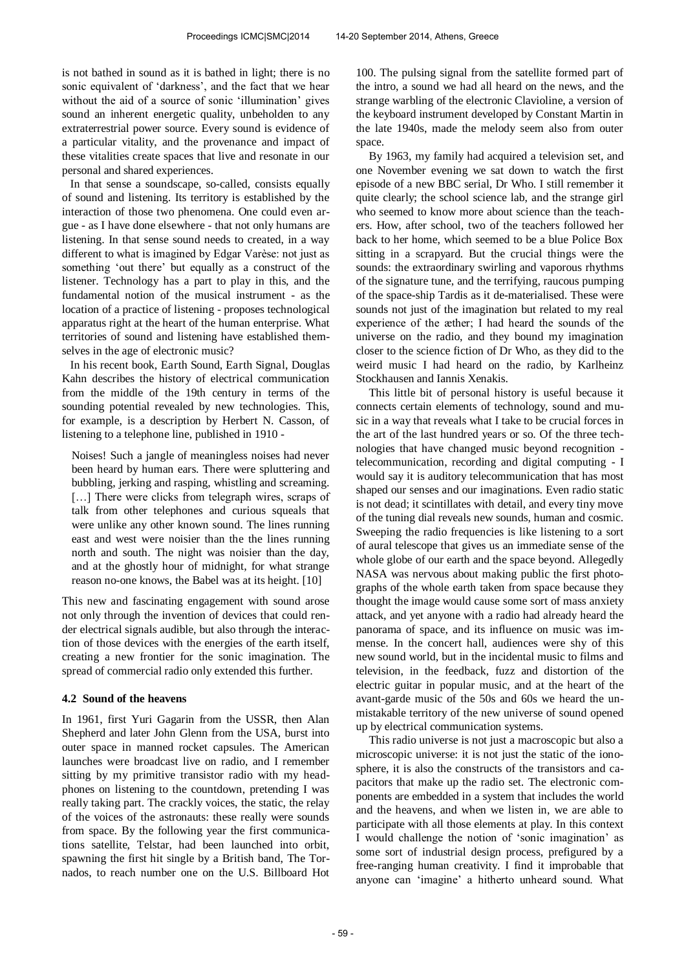is not bathed in sound as it is bathed in light; there is no sonic equivalent of 'darkness', and the fact that we hear without the aid of a source of sonic 'illumination' gives sound an inherent energetic quality, unbeholden to any extraterrestrial power source. Every sound is evidence of a particular vitality, and the provenance and impact of these vitalities create spaces that live and resonate in our personal and shared experiences.

In that sense a soundscape, so-called, consists equally of sound and listening. Its territory is established by the interaction of those two phenomena. One could even argue - as I have done elsewhere - that not only humans are listening. In that sense sound needs to created, in a way different to what is imagined by Edgar Varèse: not just as something 'out there' but equally as a construct of the listener. Technology has a part to play in this, and the fundamental notion of the musical instrument - as the location of a practice of listening - proposes technological apparatus right at the heart of the human enterprise. What territories of sound and listening have established themselves in the age of electronic music?

In his recent book, Earth Sound, Earth Signal, Douglas Kahn describes the history of electrical communication from the middle of the 19th century in terms of the sounding potential revealed by new technologies. This, for example, is a description by Herbert N. Casson, of listening to a telephone line, published in 1910 -

Noises! Such a jangle of meaningless noises had never been heard by human ears. There were spluttering and bubbling, jerking and rasping, whistling and screaming. [...] There were clicks from telegraph wires, scraps of talk from other telephones and curious squeals that were unlike any other known sound. The lines running east and west were noisier than the the lines running north and south. The night was noisier than the day, and at the ghostly hour of midnight, for what strange reason no-one knows, the Babel was at its height. [10]

This new and fascinating engagement with sound arose not only through the invention of devices that could render electrical signals audible, but also through the interaction of those devices with the energies of the earth itself, creating a new frontier for the sonic imagination. The spread of commercial radio only extended this further.

#### **4.2 Sound of the heavens**

In 1961, first Yuri Gagarin from the USSR, then Alan Shepherd and later John Glenn from the USA, burst into outer space in manned rocket capsules. The American launches were broadcast live on radio, and I remember sitting by my primitive transistor radio with my headphones on listening to the countdown, pretending I was really taking part. The crackly voices, the static, the relay of the voices of the astronauts: these really were sounds from space. By the following year the first communications satellite, Telstar, had been launched into orbit, spawning the first hit single by a British band, The Tornados, to reach number one on the U.S. Billboard Hot

100. The pulsing signal from the satellite formed part of the intro, a sound we had all heard on the news, and the strange warbling of the electronic Clavioline, a version of the keyboard instrument developed by Constant Martin in the late 1940s, made the melody seem also from outer space.

By 1963, my family had acquired a television set, and one November evening we sat down to watch the first episode of a new BBC serial, Dr Who. I still remember it quite clearly; the school science lab, and the strange girl who seemed to know more about science than the teachers. How, after school, two of the teachers followed her back to her home, which seemed to be a blue Police Box sitting in a scrapyard. But the crucial things were the sounds: the extraordinary swirling and vaporous rhythms of the signature tune, and the terrifying, raucous pumping of the space-ship Tardis as it de-materialised. These were sounds not just of the imagination but related to my real experience of the æther; I had heard the sounds of the universe on the radio, and they bound my imagination closer to the science fiction of Dr Who, as they did to the weird music I had heard on the radio, by Karlheinz Stockhausen and Iannis Xenakis.

This little bit of personal history is useful because it connects certain elements of technology, sound and music in a way that reveals what I take to be crucial forces in the art of the last hundred years or so. Of the three technologies that have changed music beyond recognition telecommunication, recording and digital computing - I would say it is auditory telecommunication that has most shaped our senses and our imaginations. Even radio static is not dead; it scintillates with detail, and every tiny move of the tuning dial reveals new sounds, human and cosmic. Sweeping the radio frequencies is like listening to a sort of aural telescope that gives us an immediate sense of the whole globe of our earth and the space beyond. Allegedly NASA was nervous about making public the first photographs of the whole earth taken from space because they thought the image would cause some sort of mass anxiety attack, and yet anyone with a radio had already heard the panorama of space, and its influence on music was immense. In the concert hall, audiences were shy of this new sound world, but in the incidental music to films and television, in the feedback, fuzz and distortion of the electric guitar in popular music, and at the heart of the avant-garde music of the 50s and 60s we heard the unmistakable territory of the new universe of sound opened up by electrical communication systems.

This radio universe is not just a macroscopic but also a microscopic universe: it is not just the static of the ionosphere, it is also the constructs of the transistors and capacitors that make up the radio set. The electronic components are embedded in a system that includes the world and the heavens, and when we listen in, we are able to participate with all those elements at play. In this context I would challenge the notion of 'sonic imagination' as some sort of industrial design process, prefigured by a free-ranging human creativity. I find it improbable that anyone can 'imagine' a hitherto unheard sound. What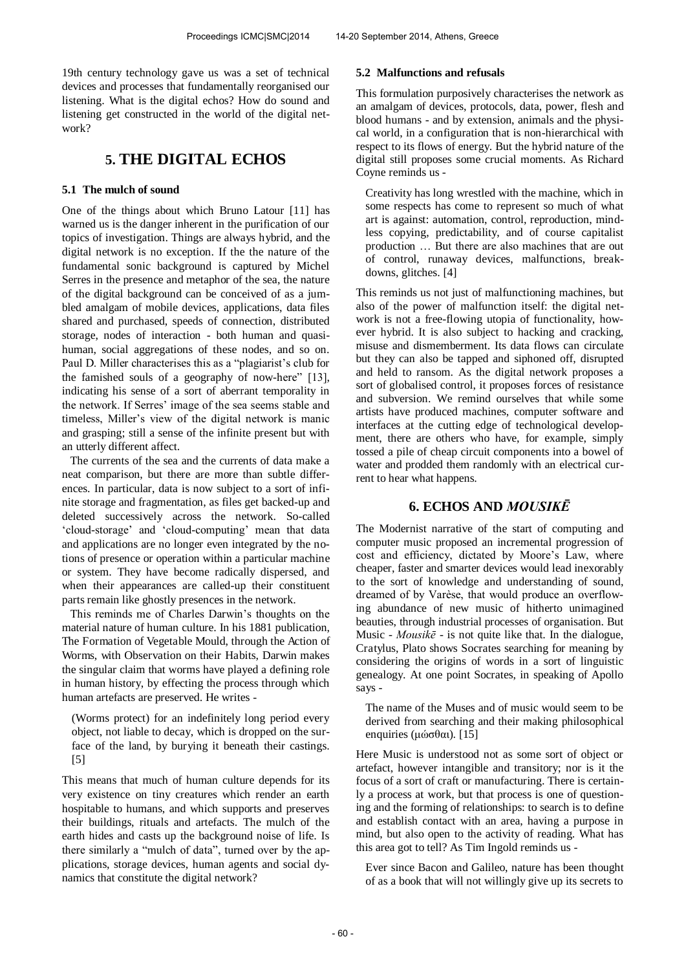19th century technology gave us was a set of technical devices and processes that fundamentally reorganised our listening. What is the digital echos? How do sound and listening get constructed in the world of the digital network?

## **5. THE DIGITAL ECHOS**

### **5.1 The mulch of sound**

One of the things about which Bruno Latour [11] has warned us is the danger inherent in the purification of our topics of investigation. Things are always hybrid, and the digital network is no exception. If the the nature of the fundamental sonic background is captured by Michel Serres in the presence and metaphor of the sea, the nature of the digital background can be conceived of as a jumbled amalgam of mobile devices, applications, data files shared and purchased, speeds of connection, distributed storage, nodes of interaction - both human and quasihuman, social aggregations of these nodes, and so on. Paul D. Miller characterises this as a "plagiarist's club for the famished souls of a geography of now-here" [13], indicating his sense of a sort of aberrant temporality in the network. If Serres' image of the sea seems stable and timeless, Miller's view of the digital network is manic and grasping; still a sense of the infinite present but with an utterly different affect.

The currents of the sea and the currents of data make a neat comparison, but there are more than subtle differences. In particular, data is now subject to a sort of infinite storage and fragmentation, as files get backed-up and deleted successively across the network. So-called 'cloud-storage' and 'cloud-computing' mean that data and applications are no longer even integrated by the notions of presence or operation within a particular machine or system. They have become radically dispersed, and when their appearances are called-up their constituent parts remain like ghostly presences in the network.

This reminds me of Charles Darwin's thoughts on the material nature of human culture. In his 1881 publication, The Formation of Vegetable Mould, through the Action of Worms, with Observation on their Habits, Darwin makes the singular claim that worms have played a defining role in human history, by effecting the process through which human artefacts are preserved. He writes -

(Worms protect) for an indefinitely long period every object, not liable to decay, which is dropped on the surface of the land, by burying it beneath their castings. [5]

This means that much of human culture depends for its very existence on tiny creatures which render an earth hospitable to humans, and which supports and preserves their buildings, rituals and artefacts. The mulch of the earth hides and casts up the background noise of life. Is there similarly a "mulch of data", turned over by the applications, storage devices, human agents and social dynamics that constitute the digital network?

### **5.2 Malfunctions and refusals**

This formulation purposively characterises the network as an amalgam of devices, protocols, data, power, flesh and blood humans - and by extension, animals and the physical world, in a configuration that is non-hierarchical with respect to its flows of energy. But the hybrid nature of the digital still proposes some crucial moments. As Richard Coyne reminds us -

Creativity has long wrestled with the machine, which in some respects has come to represent so much of what art is against: automation, control, reproduction, mindless copying, predictability, and of course capitalist production … But there are also machines that are out of control, runaway devices, malfunctions, breakdowns, glitches. [4]

This reminds us not just of malfunctioning machines, but also of the power of malfunction itself: the digital network is not a free-flowing utopia of functionality, however hybrid. It is also subject to hacking and cracking, misuse and dismemberment. Its data flows can circulate but they can also be tapped and siphoned off, disrupted and held to ransom. As the digital network proposes a sort of globalised control, it proposes forces of resistance and subversion. We remind ourselves that while some artists have produced machines, computer software and interfaces at the cutting edge of technological development, there are others who have, for example, simply tossed a pile of cheap circuit components into a bowel of water and prodded them randomly with an electrical current to hear what happens.

## **6. ECHOS AND** *MOUSIKĒ*

The Modernist narrative of the start of computing and computer music proposed an incremental progression of cost and efficiency, dictated by Moore's Law, where cheaper, faster and smarter devices would lead inexorably to the sort of knowledge and understanding of sound, dreamed of by Varèse, that would produce an overflowing abundance of new music of hitherto unimagined beauties, through industrial processes of organisation. But Music - *Mousikē* - is not quite like that. In the dialogue, Cratylus, Plato shows Socrates searching for meaning by considering the origins of words in a sort of linguistic genealogy. At one point Socrates, in speaking of Apollo says -

The name of the Muses and of music would seem to be derived from searching and their making philosophical enquiries (μώσθαι). [15]

Here Music is understood not as some sort of object or artefact, however intangible and transitory; nor is it the focus of a sort of craft or manufacturing. There is certainly a process at work, but that process is one of questioning and the forming of relationships: to search is to define and establish contact with an area, having a purpose in mind, but also open to the activity of reading. What has this area got to tell? As Tim Ingold reminds us -

Ever since Bacon and Galileo, nature has been thought of as a book that will not willingly give up its secrets to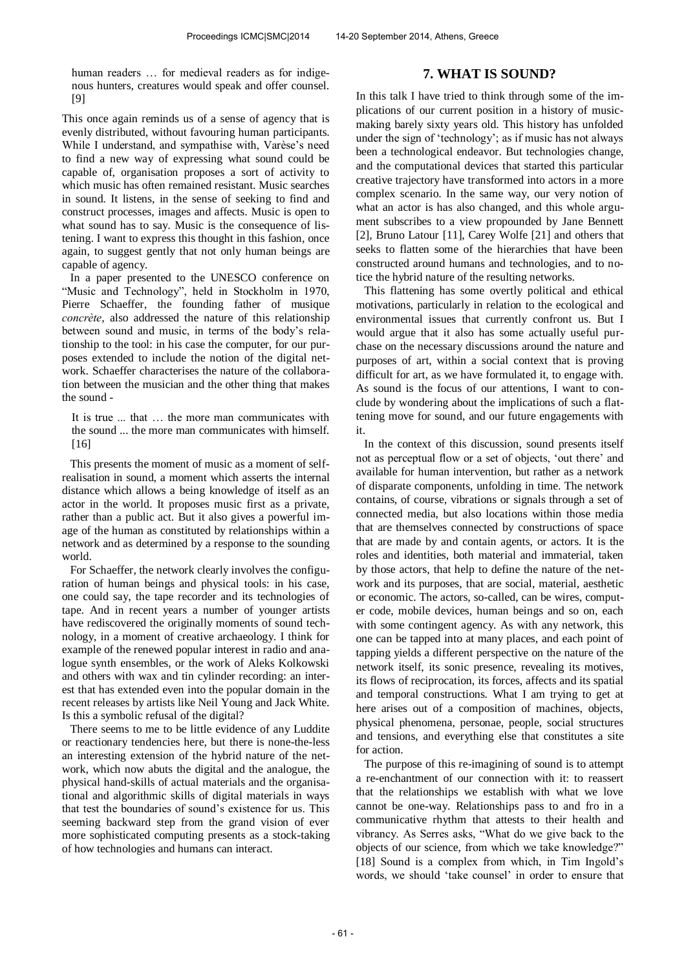human readers ... for medieval readers as for indigenous hunters, creatures would speak and offer counsel. [9]

This once again reminds us of a sense of agency that is evenly distributed, without favouring human participants. While I understand, and sympathise with, Varèse's need to find a new way of expressing what sound could be capable of, organisation proposes a sort of activity to which music has often remained resistant. Music searches in sound. It listens, in the sense of seeking to find and construct processes, images and affects. Music is open to what sound has to say. Music is the consequence of listening. I want to express this thought in this fashion, once again, to suggest gently that not only human beings are capable of agency.

In a paper presented to the UNESCO conference on "Music and Technology", held in Stockholm in 1970, Pierre Schaeffer, the founding father of musique *concrète*, also addressed the nature of this relationship between sound and music, in terms of the body's relationship to the tool: in his case the computer, for our purposes extended to include the notion of the digital network. Schaeffer characterises the nature of the collaboration between the musician and the other thing that makes the sound -

It is true ... that … the more man communicates with the sound ... the more man communicates with himself. [16]

This presents the moment of music as a moment of selfrealisation in sound, a moment which asserts the internal distance which allows a being knowledge of itself as an actor in the world. It proposes music first as a private, rather than a public act. But it also gives a powerful image of the human as constituted by relationships within a network and as determined by a response to the sounding world.

For Schaeffer, the network clearly involves the configuration of human beings and physical tools: in his case, one could say, the tape recorder and its technologies of tape. And in recent years a number of younger artists have rediscovered the originally moments of sound technology, in a moment of creative archaeology. I think for example of the renewed popular interest in radio and analogue synth ensembles, or the work of Aleks Kolkowski and others with wax and tin cylinder recording: an interest that has extended even into the popular domain in the recent releases by artists like Neil Young and Jack White. Is this a symbolic refusal of the digital?

There seems to me to be little evidence of any Luddite or reactionary tendencies here, but there is none-the-less an interesting extension of the hybrid nature of the network, which now abuts the digital and the analogue, the physical hand-skills of actual materials and the organisational and algorithmic skills of digital materials in ways that test the boundaries of sound's existence for us. This seeming backward step from the grand vision of ever more sophisticated computing presents as a stock-taking of how technologies and humans can interact.

### **7. WHAT IS SOUND?**

In this talk I have tried to think through some of the implications of our current position in a history of musicmaking barely sixty years old. This history has unfolded under the sign of 'technology'; as if music has not always been a technological endeavor. But technologies change, and the computational devices that started this particular creative trajectory have transformed into actors in a more complex scenario. In the same way, our very notion of what an actor is has also changed, and this whole argument subscribes to a view propounded by Jane Bennett [2], Bruno Latour [11], Carey Wolfe [21] and others that seeks to flatten some of the hierarchies that have been constructed around humans and technologies, and to notice the hybrid nature of the resulting networks.

This flattening has some overtly political and ethical motivations, particularly in relation to the ecological and environmental issues that currently confront us. But I would argue that it also has some actually useful purchase on the necessary discussions around the nature and purposes of art, within a social context that is proving difficult for art, as we have formulated it, to engage with. As sound is the focus of our attentions, I want to conclude by wondering about the implications of such a flattening move for sound, and our future engagements with it.

In the context of this discussion, sound presents itself not as perceptual flow or a set of objects, 'out there' and available for human intervention, but rather as a network of disparate components, unfolding in time. The network contains, of course, vibrations or signals through a set of connected media, but also locations within those media that are themselves connected by constructions of space that are made by and contain agents, or actors. It is the roles and identities, both material and immaterial, taken by those actors, that help to define the nature of the network and its purposes, that are social, material, aesthetic or economic. The actors, so-called, can be wires, computer code, mobile devices, human beings and so on, each with some contingent agency. As with any network, this one can be tapped into at many places, and each point of tapping yields a different perspective on the nature of the network itself, its sonic presence, revealing its motives, its flows of reciprocation, its forces, affects and its spatial and temporal constructions. What I am trying to get at here arises out of a composition of machines, objects, physical phenomena, personae, people, social structures and tensions, and everything else that constitutes a site for action.

The purpose of this re-imagining of sound is to attempt a re-enchantment of our connection with it: to reassert that the relationships we establish with what we love cannot be one-way. Relationships pass to and fro in a communicative rhythm that attests to their health and vibrancy. As Serres asks, "What do we give back to the objects of our science, from which we take knowledge?" [18] Sound is a complex from which, in Tim Ingold's words, we should 'take counsel' in order to ensure that